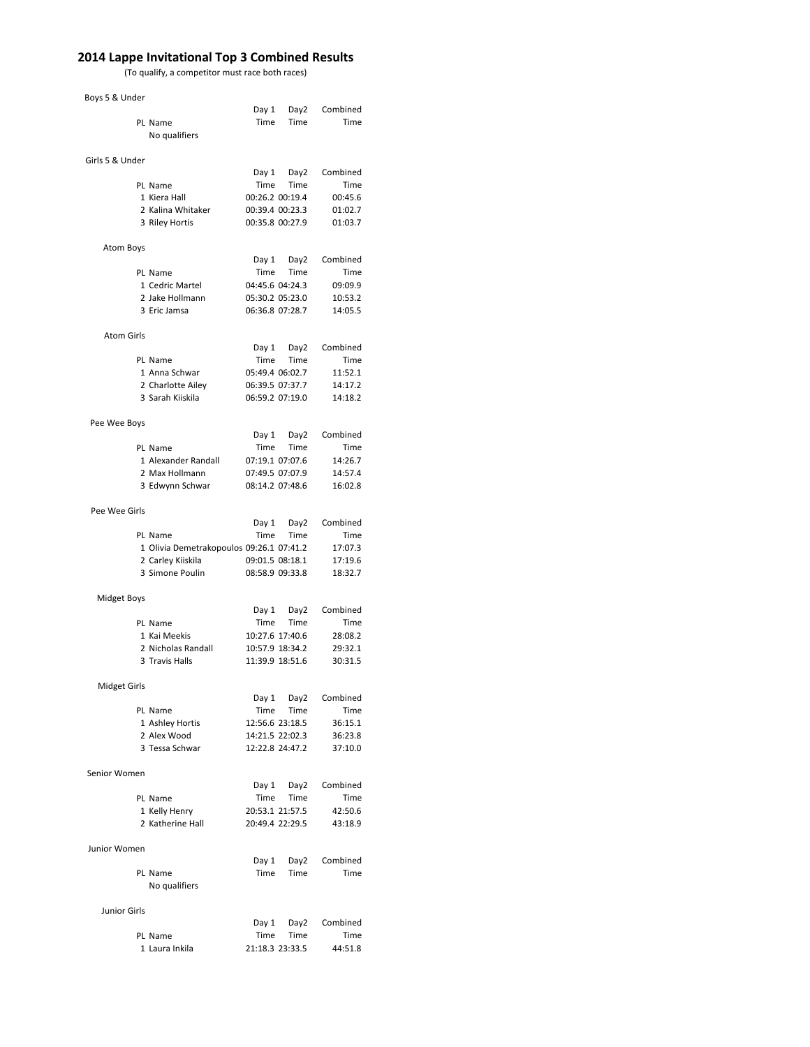## **2014 Lappe Invitational Top 3 Combined Results**

(To qualify, a competitor must race both races)

## Boys 5 & Under

|                     |                                          | Day 1                   | Day2             | Combined           |
|---------------------|------------------------------------------|-------------------------|------------------|--------------------|
|                     | PL Name                                  | Time                    | Time             | Time               |
|                     | No qualifiers                            |                         |                  |                    |
|                     |                                          |                         |                  |                    |
| Girls 5 & Under     |                                          |                         |                  |                    |
|                     |                                          | Day 1                   | Day2             | Combined           |
|                     | PL Name                                  | Time                    | Time             | Time               |
|                     | 1 Kiera Hall                             |                         | 00:26.2 00:19.4  | 00:45.6            |
|                     | 2 Kalina Whitaker                        | 00:39.4 00:23.3         |                  | 01:02.7            |
|                     | 3 Riley Hortis                           | 00:35.8 00:27.9         |                  | 01:03.7            |
|                     |                                          |                         |                  |                    |
| Atom Boys           |                                          |                         |                  |                    |
|                     |                                          | Day 1                   | Day <sub>2</sub> | Combined           |
|                     | PL Name                                  | Time                    | Time             | Time               |
|                     | 1 Cedric Martel                          | 04:45.6 04:24.3         |                  | 09:09.9            |
|                     | 2 Jake Hollmann                          |                         | 05:30.2 05:23.0  | 10:53.2            |
|                     | 3 Eric Jamsa                             | 06:36.8 07:28.7         |                  | 14:05.5            |
|                     |                                          |                         |                  |                    |
| <b>Atom Girls</b>   |                                          |                         |                  |                    |
|                     |                                          | Day 1                   | Day2             | Combined           |
|                     | PL Name                                  | Time<br>05:49.4 06:02.7 | Time             | Time               |
|                     | 1 Anna Schwar                            | 06:39.5 07:37.7         |                  | 11:52.1            |
|                     | 2 Charlotte Ailey<br>3 Sarah Kiiskila    | 06:59.2 07:19.0         |                  | 14:17.2<br>14:18.2 |
|                     |                                          |                         |                  |                    |
|                     |                                          |                         |                  |                    |
| Pee Wee Boys        |                                          | Day 1                   | Day2             | Combined           |
|                     | PL Name                                  | Time                    | Time             | Time               |
|                     | 1 Alexander Randall                      |                         | 07:19.1 07:07.6  | 14:26.7            |
|                     | 2 Max Hollmann                           |                         | 07:49.5 07:07.9  | 14:57.4            |
|                     | 3 Edwynn Schwar                          | 08:14.2 07:48.6         |                  | 16:02.8            |
|                     |                                          |                         |                  |                    |
| Pee Wee Girls       |                                          |                         |                  |                    |
|                     |                                          | Day 1                   | Day2             | Combined           |
|                     | PL Name                                  | Time                    | Time             | Time               |
|                     | 1 Olivia Demetrakopoulos 09:26.1 07:41.2 |                         |                  | 17:07.3            |
|                     | 2 Carley Kiiskila                        | 09:01.5 08:18.1         |                  | 17:19.6            |
|                     | 3 Simone Poulin                          | 08:58.9 09:33.8         |                  | 18:32.7            |
|                     |                                          |                         |                  |                    |
| <b>Midget Boys</b>  |                                          |                         |                  |                    |
|                     |                                          | Day 1                   | Day2             | Combined           |
|                     | PL Name                                  | Time                    | Time             | Time               |
|                     | 1 Kai Meekis                             |                         | 10:27.6 17:40.6  | 28:08.2            |
|                     | 2 Nicholas Randall                       |                         | 10:57.9 18:34.2  | 29:32.1            |
|                     | 3 Travis Halls                           |                         | 11:39.9 18:51.6  | 30:31.5            |
|                     |                                          |                         |                  |                    |
| <b>Midget Girls</b> |                                          |                         |                  |                    |
|                     |                                          | Day 1                   | Day2             | Combined           |
|                     | PL Name                                  | Time                    | Time             | Time               |
|                     | 1 Ashley Hortis                          |                         | 12:56.6 23:18.5  | 36:15.1            |
|                     | 2 Alex Wood                              |                         | 14:21.5 22:02.3  | 36:23.8            |
|                     | 3 Tessa Schwar                           |                         | 12:22.8 24:47.2  | 37:10.0            |
|                     |                                          |                         |                  |                    |
| Senior Women        |                                          |                         |                  |                    |
|                     |                                          | Day 1                   | Day2             | Combined           |
|                     | PL Name                                  | Time                    | Time             | Time               |
|                     | 1 Kelly Henry                            |                         | 20:53.1 21:57.5  | 42:50.6            |
|                     | 2 Katherine Hall                         |                         | 20:49.4 22:29.5  | 43:18.9            |
|                     |                                          |                         |                  |                    |
| Junior Women        |                                          |                         |                  |                    |
|                     |                                          | Day 1                   | Day2             | Combined           |
|                     | PL Name                                  | Time                    | Time             | Time               |
|                     | No qualifiers                            |                         |                  |                    |
|                     |                                          |                         |                  |                    |
| <b>Junior Girls</b> |                                          |                         | Day 1 Day 2      | Combined           |
|                     | PL Name                                  | Time                    | Time             | Time               |
|                     | 1 Laura Inkila                           |                         | 21:18.3 23:33.5  | 44:51.8            |
|                     |                                          |                         |                  |                    |